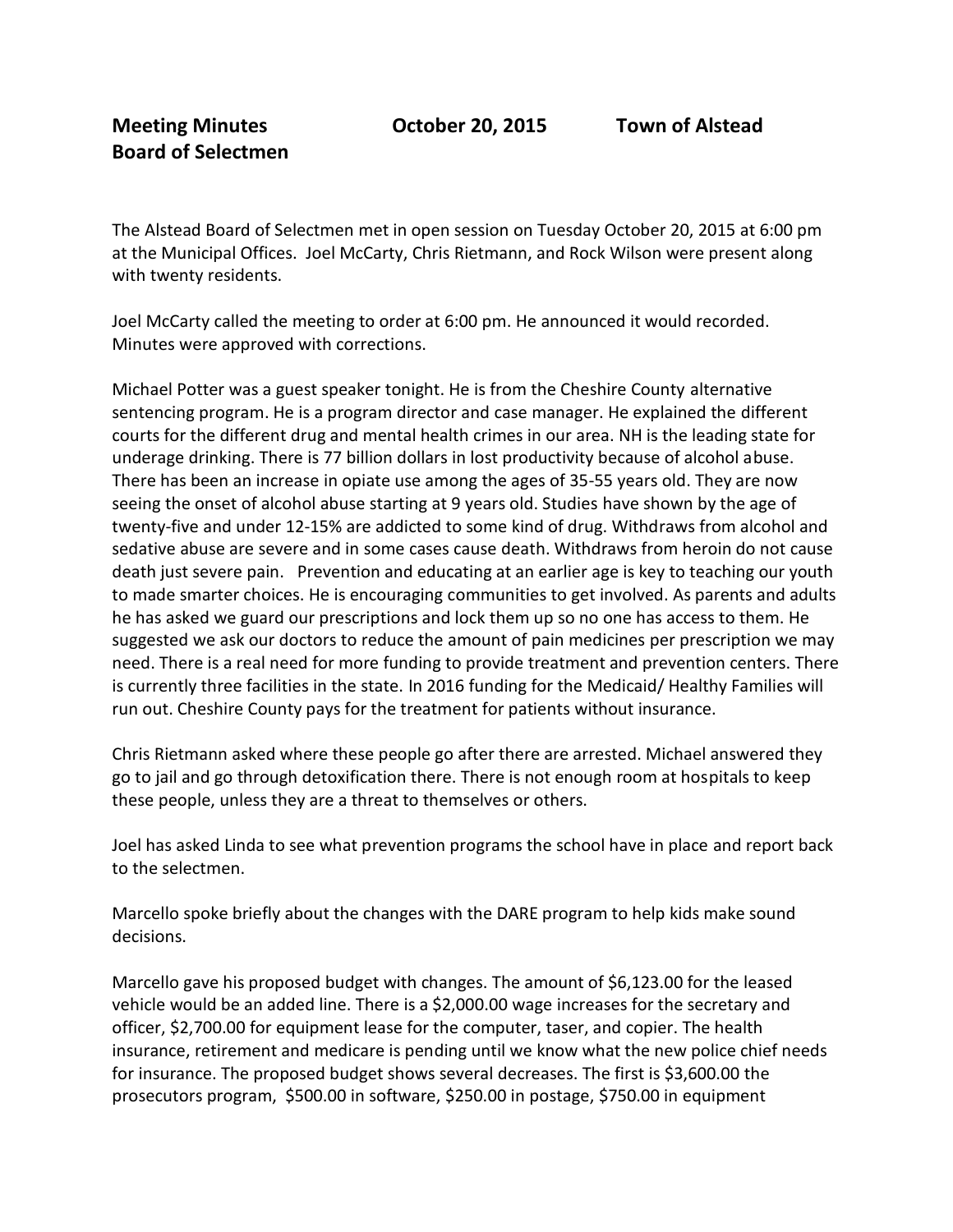The Alstead Board of Selectmen met in open session on Tuesday October 20, 2015 at 6:00 pm at the Municipal Offices. Joel McCarty, Chris Rietmann, and Rock Wilson were present along with twenty residents.

Joel McCarty called the meeting to order at 6:00 pm. He announced it would recorded. Minutes were approved with corrections.

Michael Potter was a guest speaker tonight. He is from the Cheshire County alternative sentencing program. He is a program director and case manager. He explained the different courts for the different drug and mental health crimes in our area. NH is the leading state for underage drinking. There is 77 billion dollars in lost productivity because of alcohol abuse. There has been an increase in opiate use among the ages of 35-55 years old. They are now seeing the onset of alcohol abuse starting at 9 years old. Studies have shown by the age of twenty-five and under 12-15% are addicted to some kind of drug. Withdraws from alcohol and sedative abuse are severe and in some cases cause death. Withdraws from heroin do not cause death just severe pain. Prevention and educating at an earlier age is key to teaching our youth to made smarter choices. He is encouraging communities to get involved. As parents and adults he has asked we guard our prescriptions and lock them up so no one has access to them. He suggested we ask our doctors to reduce the amount of pain medicines per prescription we may need. There is a real need for more funding to provide treatment and prevention centers. There is currently three facilities in the state. In 2016 funding for the Medicaid/ Healthy Families will run out. Cheshire County pays for the treatment for patients without insurance.

Chris Rietmann asked where these people go after there are arrested. Michael answered they go to jail and go through detoxification there. There is not enough room at hospitals to keep these people, unless they are a threat to themselves or others.

Joel has asked Linda to see what prevention programs the school have in place and report back to the selectmen.

Marcello spoke briefly about the changes with the DARE program to help kids make sound decisions.

Marcello gave his proposed budget with changes. The amount of \$6,123.00 for the leased vehicle would be an added line. There is a \$2,000.00 wage increases for the secretary and officer, \$2,700.00 for equipment lease for the computer, taser, and copier. The health insurance, retirement and medicare is pending until we know what the new police chief needs for insurance. The proposed budget shows several decreases. The first is \$3,600.00 the prosecutors program, \$500.00 in software, \$250.00 in postage, \$750.00 in equipment